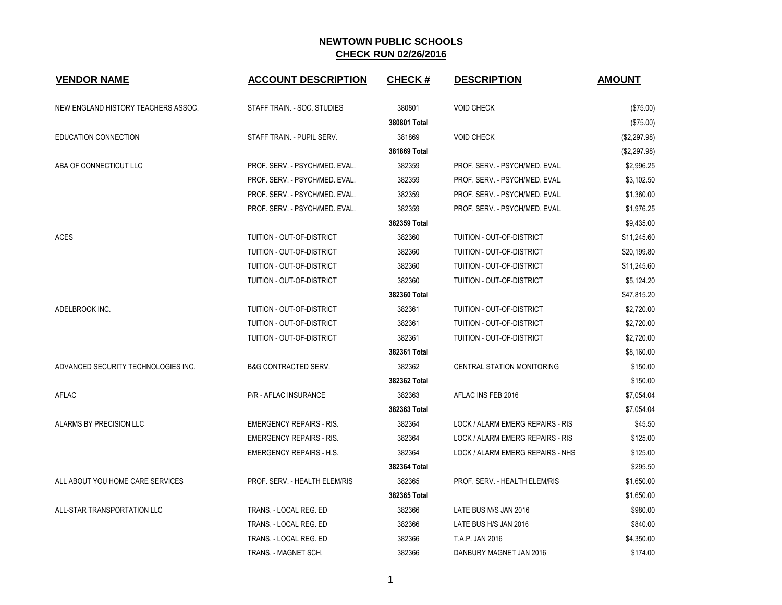| <b>VENDOR NAME</b>                  | <b>ACCOUNT DESCRIPTION</b>      | <b>CHECK#</b> | <b>DESCRIPTION</b>                | <b>AMOUNT</b> |
|-------------------------------------|---------------------------------|---------------|-----------------------------------|---------------|
| NEW ENGLAND HISTORY TEACHERS ASSOC. | STAFF TRAIN. - SOC. STUDIES     | 380801        | <b>VOID CHECK</b>                 | (\$75.00)     |
|                                     |                                 | 380801 Total  |                                   | (\$75.00)     |
| <b>EDUCATION CONNECTION</b>         | STAFF TRAIN. - PUPIL SERV.      | 381869        | <b>VOID CHECK</b>                 | (\$2,297.98)  |
|                                     |                                 | 381869 Total  |                                   | (\$2,297.98)  |
| ABA OF CONNECTICUT LLC              | PROF. SERV. - PSYCH/MED. EVAL.  | 382359        | PROF. SERV. - PSYCH/MED. EVAL.    | \$2,996.25    |
|                                     | PROF. SERV. - PSYCH/MED. EVAL.  | 382359        | PROF. SERV. - PSYCH/MED. EVAL.    | \$3,102.50    |
|                                     | PROF. SERV. - PSYCH/MED. EVAL.  | 382359        | PROF. SERV. - PSYCH/MED. EVAL.    | \$1,360.00    |
|                                     | PROF. SERV. - PSYCH/MED. EVAL.  | 382359        | PROF. SERV. - PSYCH/MED. EVAL.    | \$1,976.25    |
|                                     |                                 | 382359 Total  |                                   | \$9,435.00    |
| <b>ACES</b>                         | TUITION - OUT-OF-DISTRICT       | 382360        | TUITION - OUT-OF-DISTRICT         | \$11,245.60   |
|                                     | TUITION - OUT-OF-DISTRICT       | 382360        | TUITION - OUT-OF-DISTRICT         | \$20,199.80   |
|                                     | TUITION - OUT-OF-DISTRICT       | 382360        | TUITION - OUT-OF-DISTRICT         | \$11,245.60   |
|                                     | TUITION - OUT-OF-DISTRICT       | 382360        | TUITION - OUT-OF-DISTRICT         | \$5,124.20    |
|                                     |                                 | 382360 Total  |                                   | \$47,815.20   |
| ADELBROOK INC.                      | TUITION - OUT-OF-DISTRICT       | 382361        | <b>TUITION - OUT-OF-DISTRICT</b>  | \$2,720.00    |
|                                     | TUITION - OUT-OF-DISTRICT       | 382361        | TUITION - OUT-OF-DISTRICT         | \$2,720.00    |
|                                     | TUITION - OUT-OF-DISTRICT       | 382361        | TUITION - OUT-OF-DISTRICT         | \$2,720.00    |
|                                     |                                 | 382361 Total  |                                   | \$8,160.00    |
| ADVANCED SECURITY TECHNOLOGIES INC. | <b>B&amp;G CONTRACTED SERV.</b> | 382362        | <b>CENTRAL STATION MONITORING</b> | \$150.00      |
|                                     |                                 | 382362 Total  |                                   | \$150.00      |
| <b>AFLAC</b>                        | <b>P/R - AFLAC INSURANCE</b>    | 382363        | AFLAC INS FEB 2016                | \$7,054.04    |
|                                     |                                 | 382363 Total  |                                   | \$7,054.04    |
| ALARMS BY PRECISION LLC             | <b>EMERGENCY REPAIRS - RIS.</b> | 382364        | LOCK / ALARM EMERG REPAIRS - RIS  | \$45.50       |
|                                     | <b>EMERGENCY REPAIRS - RIS.</b> | 382364        | LOCK / ALARM EMERG REPAIRS - RIS  | \$125.00      |
|                                     | <b>EMERGENCY REPAIRS - H.S.</b> | 382364        | LOCK / ALARM EMERG REPAIRS - NHS  | \$125.00      |
|                                     |                                 | 382364 Total  |                                   | \$295.50      |
| ALL ABOUT YOU HOME CARE SERVICES    | PROF. SERV. - HEALTH ELEM/RIS   | 382365        | PROF. SERV. - HEALTH ELEM/RIS     | \$1,650.00    |
|                                     |                                 | 382365 Total  |                                   | \$1,650.00    |
| ALL-STAR TRANSPORTATION LLC         | TRANS. - LOCAL REG. ED          | 382366        | LATE BUS M/S JAN 2016             | \$980.00      |
|                                     | TRANS. - LOCAL REG. ED          | 382366        | LATE BUS H/S JAN 2016             | \$840.00      |
|                                     | TRANS. - LOCAL REG. ED          | 382366        | T.A.P. JAN 2016                   | \$4,350.00    |
|                                     | TRANS. - MAGNET SCH.            | 382366        | DANBURY MAGNET JAN 2016           | \$174.00      |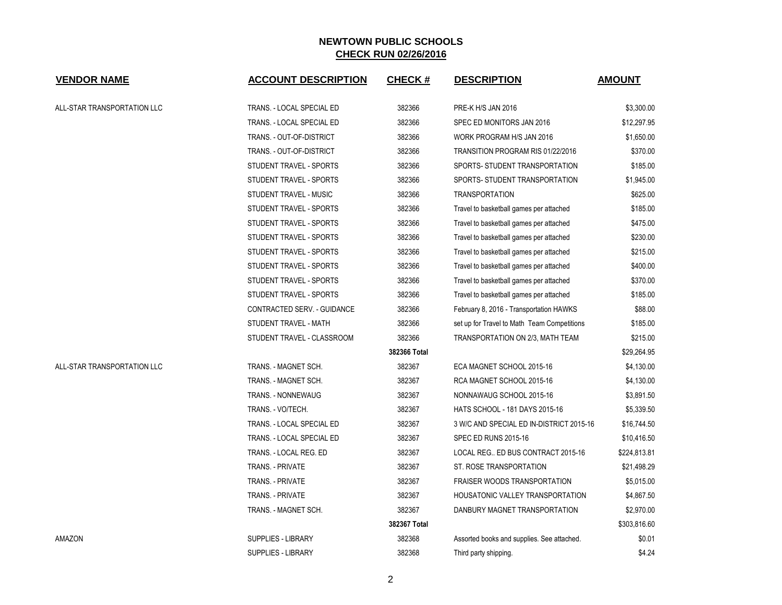| <b>VENDOR NAME</b>          | <b>ACCOUNT DESCRIPTION</b>  | <b>CHECK#</b> | <b>DESCRIPTION</b>                          | <b>AMOUNT</b> |
|-----------------------------|-----------------------------|---------------|---------------------------------------------|---------------|
| ALL-STAR TRANSPORTATION LLC | TRANS. - LOCAL SPECIAL ED   | 382366        | PRE-K H/S JAN 2016                          | \$3,300.00    |
|                             | TRANS. - LOCAL SPECIAL ED   | 382366        | SPEC ED MONITORS JAN 2016                   | \$12,297.95   |
|                             | TRANS. - OUT-OF-DISTRICT    | 382366        | WORK PROGRAM H/S JAN 2016                   | \$1,650.00    |
|                             | TRANS. - OUT-OF-DISTRICT    | 382366        | TRANSITION PROGRAM RIS 01/22/2016           | \$370.00      |
|                             | STUDENT TRAVEL - SPORTS     | 382366        | SPORTS- STUDENT TRANSPORTATION              | \$185.00      |
|                             | STUDENT TRAVEL - SPORTS     | 382366        | SPORTS- STUDENT TRANSPORTATION              | \$1,945.00    |
|                             | STUDENT TRAVEL - MUSIC      | 382366        | <b>TRANSPORTATION</b>                       | \$625.00      |
|                             | STUDENT TRAVEL - SPORTS     | 382366        | Travel to basketball games per attached     | \$185.00      |
|                             | STUDENT TRAVEL - SPORTS     | 382366        | Travel to basketball games per attached     | \$475.00      |
|                             | STUDENT TRAVEL - SPORTS     | 382366        | Travel to basketball games per attached     | \$230.00      |
|                             | STUDENT TRAVEL - SPORTS     | 382366        | Travel to basketball games per attached     | \$215.00      |
|                             | STUDENT TRAVEL - SPORTS     | 382366        | Travel to basketball games per attached     | \$400.00      |
|                             | STUDENT TRAVEL - SPORTS     | 382366        | Travel to basketball games per attached     | \$370.00      |
|                             | STUDENT TRAVEL - SPORTS     | 382366        | Travel to basketball games per attached     | \$185.00      |
|                             | CONTRACTED SERV. - GUIDANCE | 382366        | February 8, 2016 - Transportation HAWKS     | \$88.00       |
|                             | STUDENT TRAVEL - MATH       | 382366        | set up for Travel to Math Team Competitions | \$185.00      |
|                             | STUDENT TRAVEL - CLASSROOM  | 382366        | TRANSPORTATION ON 2/3, MATH TEAM            | \$215.00      |
|                             |                             | 382366 Total  |                                             | \$29,264.95   |
| ALL-STAR TRANSPORTATION LLC | TRANS. - MAGNET SCH.        | 382367        | ECA MAGNET SCHOOL 2015-16                   | \$4,130.00    |
|                             | TRANS. - MAGNET SCH.        | 382367        | RCA MAGNET SCHOOL 2015-16                   | \$4,130.00    |
|                             | <b>TRANS. - NONNEWAUG</b>   | 382367        | NONNAWAUG SCHOOL 2015-16                    | \$3,891.50    |
|                             | TRANS. - VO/TECH.           | 382367        | HATS SCHOOL - 181 DAYS 2015-16              | \$5,339.50    |
|                             | TRANS. - LOCAL SPECIAL ED   | 382367        | 3 W/C AND SPECIAL ED IN-DISTRICT 2015-16    | \$16,744.50   |
|                             | TRANS. - LOCAL SPECIAL ED   | 382367        | <b>SPEC ED RUNS 2015-16</b>                 | \$10,416.50   |
|                             | TRANS. - LOCAL REG. ED      | 382367        | LOCAL REG ED BUS CONTRACT 2015-16           | \$224,813.81  |
|                             | <b>TRANS. - PRIVATE</b>     | 382367        | ST. ROSE TRANSPORTATION                     | \$21,498.29   |
|                             | TRANS. - PRIVATE            | 382367        | <b>FRAISER WOODS TRANSPORTATION</b>         | \$5,015.00    |
|                             | TRANS. - PRIVATE            | 382367        | HOUSATONIC VALLEY TRANSPORTATION            | \$4,867.50    |
|                             | TRANS. - MAGNET SCH.        | 382367        | DANBURY MAGNET TRANSPORTATION               | \$2,970.00    |
|                             |                             | 382367 Total  |                                             | \$303,816.60  |
| AMAZON                      | <b>SUPPLIES - LIBRARY</b>   | 382368        | Assorted books and supplies. See attached.  | \$0.01        |
|                             | <b>SUPPLIES - LIBRARY</b>   | 382368        | Third party shipping.                       | \$4.24        |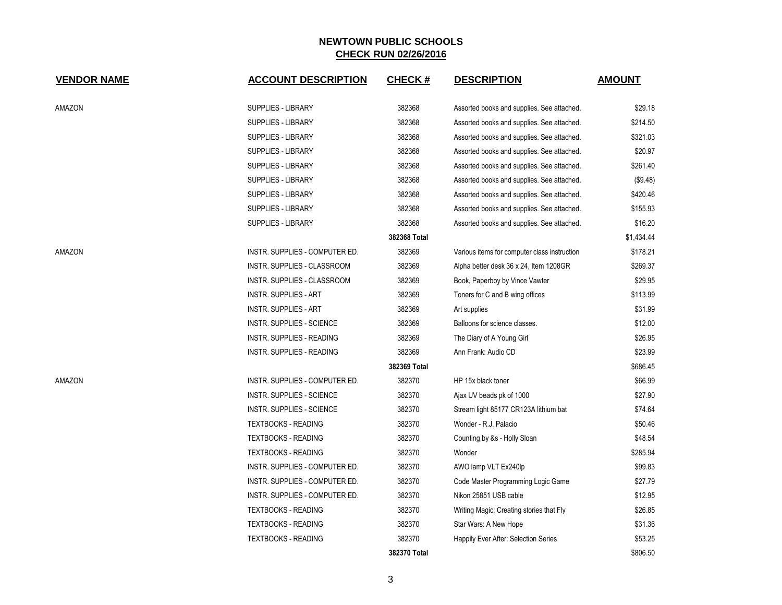| <b>VENDOR NAME</b> | <b>ACCOUNT DESCRIPTION</b>     | <b>CHECK#</b> | <b>DESCRIPTION</b>                           | <b>AMOUNT</b> |
|--------------------|--------------------------------|---------------|----------------------------------------------|---------------|
| AMAZON             | <b>SUPPLIES - LIBRARY</b>      | 382368        | Assorted books and supplies. See attached.   | \$29.18       |
|                    | <b>SUPPLIES - LIBRARY</b>      | 382368        | Assorted books and supplies. See attached.   | \$214.50      |
|                    | <b>SUPPLIES - LIBRARY</b>      | 382368        | Assorted books and supplies. See attached.   | \$321.03      |
|                    | SUPPLIES - LIBRARY             | 382368        | Assorted books and supplies. See attached.   | \$20.97       |
|                    | <b>SUPPLIES - LIBRARY</b>      | 382368        | Assorted books and supplies. See attached.   | \$261.40      |
|                    | <b>SUPPLIES - LIBRARY</b>      | 382368        | Assorted books and supplies. See attached.   | (\$9.48)      |
|                    | <b>SUPPLIES - LIBRARY</b>      | 382368        | Assorted books and supplies. See attached.   | \$420.46      |
|                    | SUPPLIES - LIBRARY             | 382368        | Assorted books and supplies. See attached.   | \$155.93      |
|                    | SUPPLIES - LIBRARY             | 382368        | Assorted books and supplies. See attached.   | \$16.20       |
|                    |                                | 382368 Total  |                                              | \$1,434.44    |
| AMAZON             | INSTR. SUPPLIES - COMPUTER ED. | 382369        | Various items for computer class instruction | \$178.21      |
|                    | INSTR. SUPPLIES - CLASSROOM    | 382369        | Alpha better desk 36 x 24, Item 1208GR       | \$269.37      |
|                    | INSTR. SUPPLIES - CLASSROOM    | 382369        | Book, Paperboy by Vince Vawter               | \$29.95       |
|                    | <b>INSTR. SUPPLIES - ART</b>   | 382369        | Toners for C and B wing offices              | \$113.99      |
|                    | <b>INSTR. SUPPLIES - ART</b>   | 382369        | Art supplies                                 | \$31.99       |
|                    | INSTR. SUPPLIES - SCIENCE      | 382369        | Balloons for science classes.                | \$12.00       |
|                    | INSTR. SUPPLIES - READING      | 382369        | The Diary of A Young Girl                    | \$26.95       |
|                    | INSTR. SUPPLIES - READING      | 382369        | Ann Frank: Audio CD                          | \$23.99       |
|                    |                                | 382369 Total  |                                              | \$686.45      |
| AMAZON             | INSTR. SUPPLIES - COMPUTER ED. | 382370        | HP 15x black toner                           | \$66.99       |
|                    | INSTR. SUPPLIES - SCIENCE      | 382370        | Ajax UV beads pk of 1000                     | \$27.90       |
|                    | INSTR. SUPPLIES - SCIENCE      | 382370        | Stream light 85177 CR123A lithium bat        | \$74.64       |
|                    | <b>TEXTBOOKS - READING</b>     | 382370        | Wonder - R.J. Palacio                        | \$50.46       |
|                    | <b>TEXTBOOKS - READING</b>     | 382370        | Counting by &s - Holly Sloan                 | \$48.54       |
|                    | <b>TEXTBOOKS - READING</b>     | 382370        | Wonder                                       | \$285.94      |
|                    | INSTR. SUPPLIES - COMPUTER ED. | 382370        | AWO lamp VLT Ex240lp                         | \$99.83       |
|                    | INSTR. SUPPLIES - COMPUTER ED. | 382370        | Code Master Programming Logic Game           | \$27.79       |
|                    | INSTR. SUPPLIES - COMPUTER ED. | 382370        | Nikon 25851 USB cable                        | \$12.95       |
|                    | <b>TEXTBOOKS - READING</b>     | 382370        | Writing Magic; Creating stories that Fly     | \$26.85       |
|                    | <b>TEXTBOOKS - READING</b>     | 382370        | Star Wars: A New Hope                        | \$31.36       |
|                    | <b>TEXTBOOKS - READING</b>     | 382370        | Happily Ever After: Selection Series         | \$53.25       |
|                    |                                | 382370 Total  |                                              | \$806.50      |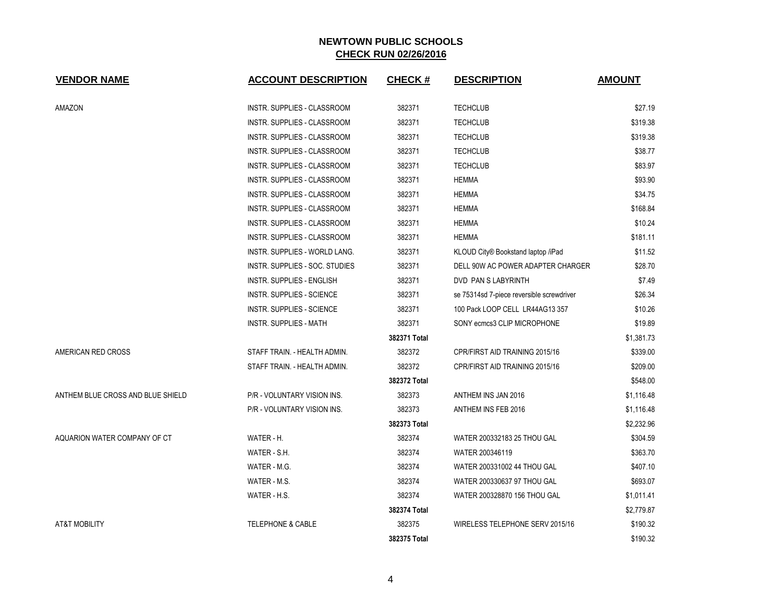| <b>VENDOR NAME</b>                | <b>ACCOUNT DESCRIPTION</b>         | <b>CHECK#</b> | <b>DESCRIPTION</b>                        | <b>AMOUNT</b> |
|-----------------------------------|------------------------------------|---------------|-------------------------------------------|---------------|
| AMAZON                            | INSTR. SUPPLIES - CLASSROOM        | 382371        | <b>TECHCLUB</b>                           | \$27.19       |
|                                   | INSTR. SUPPLIES - CLASSROOM        | 382371        | <b>TECHCLUB</b>                           | \$319.38      |
|                                   | INSTR. SUPPLIES - CLASSROOM        | 382371        | <b>TECHCLUB</b>                           | \$319.38      |
|                                   | INSTR. SUPPLIES - CLASSROOM        | 382371        | <b>TECHCLUB</b>                           | \$38.77       |
|                                   | <b>INSTR. SUPPLIES - CLASSROOM</b> | 382371        | <b>TECHCLUB</b>                           | \$83.97       |
|                                   | INSTR. SUPPLIES - CLASSROOM        | 382371        | <b>HEMMA</b>                              | \$93.90       |
|                                   | INSTR. SUPPLIES - CLASSROOM        | 382371        | HEMMA                                     | \$34.75       |
|                                   | INSTR. SUPPLIES - CLASSROOM        | 382371        | <b>HEMMA</b>                              | \$168.84      |
|                                   | INSTR. SUPPLIES - CLASSROOM        | 382371        | <b>HEMMA</b>                              | \$10.24       |
|                                   | INSTR. SUPPLIES - CLASSROOM        | 382371        | <b>HEMMA</b>                              | \$181.11      |
|                                   | INSTR. SUPPLIES - WORLD LANG.      | 382371        | KLOUD City® Bookstand laptop /iPad        | \$11.52       |
|                                   | INSTR. SUPPLIES - SOC. STUDIES     | 382371        | DELL 90W AC POWER ADAPTER CHARGER         | \$28.70       |
|                                   | INSTR. SUPPLIES - ENGLISH          | 382371        | DVD PAN S LABYRINTH                       | \$7.49        |
|                                   | <b>INSTR. SUPPLIES - SCIENCE</b>   | 382371        | se 75314sd 7-piece reversible screwdriver | \$26.34       |
|                                   | <b>INSTR. SUPPLIES - SCIENCE</b>   | 382371        | 100 Pack LOOP CELL LR44AG13 357           | \$10.26       |
|                                   | <b>INSTR. SUPPLIES - MATH</b>      | 382371        | SONY ecmcs3 CLIP MICROPHONE               | \$19.89       |
|                                   |                                    | 382371 Total  |                                           | \$1,381.73    |
| AMERICAN RED CROSS                | STAFF TRAIN. - HEALTH ADMIN.       | 382372        | CPR/FIRST AID TRAINING 2015/16            | \$339.00      |
|                                   | STAFF TRAIN. - HEALTH ADMIN.       | 382372        | CPR/FIRST AID TRAINING 2015/16            | \$209.00      |
|                                   |                                    | 382372 Total  |                                           | \$548.00      |
| ANTHEM BLUE CROSS AND BLUE SHIELD | P/R - VOLUNTARY VISION INS.        | 382373        | ANTHEM INS JAN 2016                       | \$1,116.48    |
|                                   | P/R - VOLUNTARY VISION INS.        | 382373        | ANTHEM INS FEB 2016                       | \$1,116.48    |
|                                   |                                    | 382373 Total  |                                           | \$2,232.96    |
| AQUARION WATER COMPANY OF CT      | WATER - H.                         | 382374        | WATER 200332183 25 THOU GAL               | \$304.59      |
|                                   | WATER - S.H.                       | 382374        | WATER 200346119                           | \$363.70      |
|                                   | WATER - M.G.                       | 382374        | WATER 200331002 44 THOU GAL               | \$407.10      |
|                                   | WATER - M.S.                       | 382374        | WATER 200330637 97 THOU GAL               | \$693.07      |
|                                   | WATER - H.S.                       | 382374        | WATER 200328870 156 THOU GAL              | \$1,011.41    |
|                                   |                                    | 382374 Total  |                                           | \$2,779.87    |
| <b>AT&amp;T MOBILITY</b>          | <b>TELEPHONE &amp; CABLE</b>       | 382375        | WIRELESS TELEPHONE SERV 2015/16           | \$190.32      |
|                                   |                                    | 382375 Total  |                                           | \$190.32      |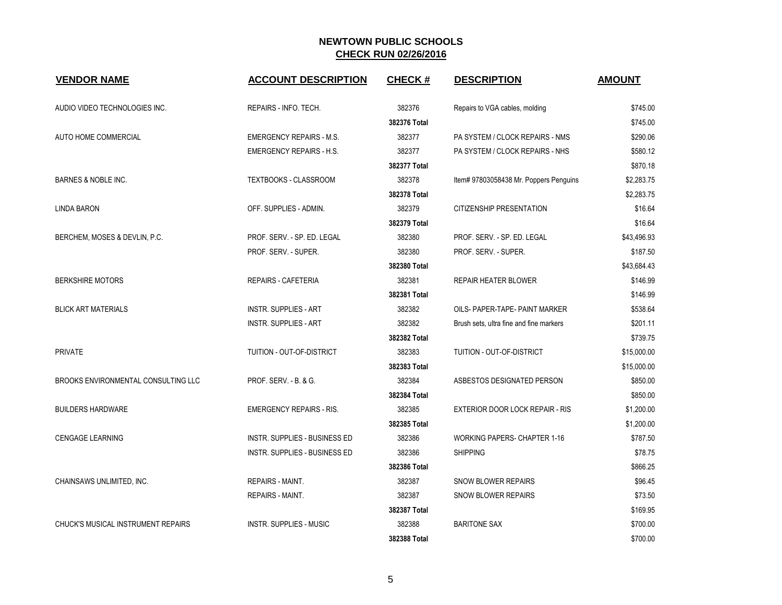| <b>VENDOR NAME</b>                         | <b>ACCOUNT DESCRIPTION</b>      | <b>CHECK#</b> | <b>DESCRIPTION</b>                      | <b>AMOUNT</b> |
|--------------------------------------------|---------------------------------|---------------|-----------------------------------------|---------------|
| AUDIO VIDEO TECHNOLOGIES INC.              | REPAIRS - INFO. TECH.           | 382376        | Repairs to VGA cables, molding          | \$745.00      |
|                                            |                                 | 382376 Total  |                                         | \$745.00      |
| AUTO HOME COMMERCIAL                       | <b>EMERGENCY REPAIRS - M.S.</b> | 382377        | PA SYSTEM / CLOCK REPAIRS - NMS         | \$290.06      |
|                                            | <b>EMERGENCY REPAIRS - H.S.</b> | 382377        | PA SYSTEM / CLOCK REPAIRS - NHS         | \$580.12      |
|                                            |                                 | 382377 Total  |                                         | \$870.18      |
| BARNES & NOBLE INC.                        | <b>TEXTBOOKS - CLASSROOM</b>    | 382378        | Item# 97803058438 Mr. Poppers Penguins  | \$2,283.75    |
|                                            |                                 | 382378 Total  |                                         | \$2,283.75    |
| LINDA BARON                                | OFF. SUPPLIES - ADMIN.          | 382379        | CITIZENSHIP PRESENTATION                | \$16.64       |
|                                            |                                 | 382379 Total  |                                         | \$16.64       |
| BERCHEM, MOSES & DEVLIN, P.C.              | PROF. SERV. - SP. ED. LEGAL     | 382380        | PROF. SERV. - SP. ED. LEGAL             | \$43,496.93   |
|                                            | PROF. SERV. - SUPER.            | 382380        | PROF. SERV. - SUPER.                    | \$187.50      |
|                                            |                                 | 382380 Total  |                                         | \$43,684.43   |
| <b>BERKSHIRE MOTORS</b>                    | <b>REPAIRS - CAFETERIA</b>      | 382381        | <b>REPAIR HEATER BLOWER</b>             | \$146.99      |
|                                            |                                 | 382381 Total  |                                         | \$146.99      |
| <b>BLICK ART MATERIALS</b>                 | <b>INSTR. SUPPLIES - ART</b>    | 382382        | OILS- PAPER-TAPE- PAINT MARKER          | \$538.64      |
|                                            | <b>INSTR. SUPPLIES - ART</b>    | 382382        | Brush sets, ultra fine and fine markers | \$201.11      |
|                                            |                                 | 382382 Total  |                                         | \$739.75      |
| <b>PRIVATE</b>                             | TUITION - OUT-OF-DISTRICT       | 382383        | TUITION - OUT-OF-DISTRICT               | \$15,000.00   |
|                                            |                                 | 382383 Total  |                                         | \$15,000.00   |
| <b>BROOKS ENVIRONMENTAL CONSULTING LLC</b> | PROF. SERV. - B. & G.           | 382384        | ASBESTOS DESIGNATED PERSON              | \$850.00      |
|                                            |                                 | 382384 Total  |                                         | \$850.00      |
| <b>BUILDERS HARDWARE</b>                   | <b>EMERGENCY REPAIRS - RIS.</b> | 382385        | <b>EXTERIOR DOOR LOCK REPAIR - RIS</b>  | \$1,200.00    |
|                                            |                                 | 382385 Total  |                                         | \$1,200.00    |
| <b>CENGAGE LEARNING</b>                    | INSTR. SUPPLIES - BUSINESS ED   | 382386        | <b>WORKING PAPERS- CHAPTER 1-16</b>     | \$787.50      |
|                                            | INSTR. SUPPLIES - BUSINESS ED   | 382386        | <b>SHIPPING</b>                         | \$78.75       |
|                                            |                                 | 382386 Total  |                                         | \$866.25      |
| CHAINSAWS UNLIMITED, INC.                  | <b>REPAIRS - MAINT.</b>         | 382387        | <b>SNOW BLOWER REPAIRS</b>              | \$96.45       |
|                                            | <b>REPAIRS - MAINT.</b>         | 382387        | SNOW BLOWER REPAIRS                     | \$73.50       |
|                                            |                                 | 382387 Total  |                                         | \$169.95      |
| CHUCK'S MUSICAL INSTRUMENT REPAIRS         | <b>INSTR. SUPPLIES - MUSIC</b>  | 382388        | <b>BARITONE SAX</b>                     | \$700.00      |
|                                            |                                 | 382388 Total  |                                         | \$700.00      |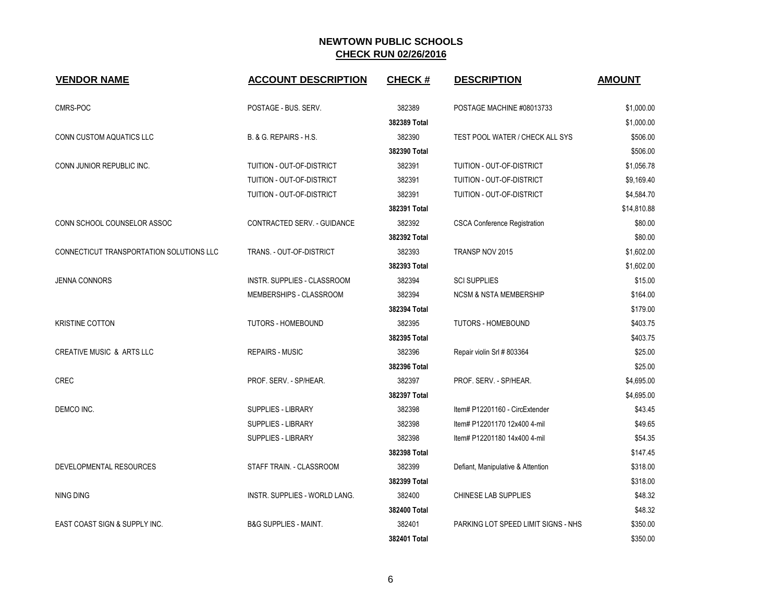| <b>VENDOR NAME</b>                       | <b>ACCOUNT DESCRIPTION</b>         | <b>CHECK#</b> | <b>DESCRIPTION</b>                  | <b>AMOUNT</b> |
|------------------------------------------|------------------------------------|---------------|-------------------------------------|---------------|
| CMRS-POC                                 | POSTAGE - BUS, SERV.               | 382389        | POSTAGE MACHINE #08013733           | \$1,000.00    |
|                                          |                                    | 382389 Total  |                                     | \$1,000.00    |
| CONN CUSTOM AQUATICS LLC                 | B. & G. REPAIRS - H.S.             | 382390        | TEST POOL WATER / CHECK ALL SYS     | \$506.00      |
|                                          |                                    | 382390 Total  |                                     | \$506.00      |
| CONN JUNIOR REPUBLIC INC.                | TUITION - OUT-OF-DISTRICT          | 382391        | TUITION - OUT-OF-DISTRICT           | \$1,056.78    |
|                                          | TUITION - OUT-OF-DISTRICT          | 382391        | TUITION - OUT-OF-DISTRICT           | \$9,169.40    |
|                                          | TUITION - OUT-OF-DISTRICT          | 382391        | TUITION - OUT-OF-DISTRICT           | \$4,584.70    |
|                                          |                                    | 382391 Total  |                                     | \$14,810.88   |
| CONN SCHOOL COUNSELOR ASSOC              | CONTRACTED SERV. - GUIDANCE        | 382392        | <b>CSCA Conference Registration</b> | \$80.00       |
|                                          |                                    | 382392 Total  |                                     | \$80.00       |
| CONNECTICUT TRANSPORTATION SOLUTIONS LLC | TRANS. - OUT-OF-DISTRICT           | 382393        | TRANSP NOV 2015                     | \$1,602.00    |
|                                          |                                    | 382393 Total  |                                     | \$1,602.00    |
| <b>JENNA CONNORS</b>                     | <b>INSTR. SUPPLIES - CLASSROOM</b> | 382394        | <b>SCI SUPPLIES</b>                 | \$15.00       |
|                                          | MEMBERSHIPS - CLASSROOM            | 382394        | <b>NCSM &amp; NSTA MEMBERSHIP</b>   | \$164.00      |
|                                          |                                    | 382394 Total  |                                     | \$179.00      |
| <b>KRISTINE COTTON</b>                   | <b>TUTORS - HOMEBOUND</b>          | 382395        | <b>TUTORS - HOMEBOUND</b>           | \$403.75      |
|                                          |                                    | 382395 Total  |                                     | \$403.75      |
| <b>CREATIVE MUSIC &amp; ARTS LLC</b>     | <b>REPAIRS - MUSIC</b>             | 382396        | Repair violin Srl # 803364          | \$25.00       |
|                                          |                                    | 382396 Total  |                                     | \$25.00       |
| <b>CREC</b>                              | PROF. SERV. - SP/HEAR.             | 382397        | PROF. SERV. - SP/HEAR.              | \$4,695.00    |
|                                          |                                    | 382397 Total  |                                     | \$4,695.00    |
| DEMCO INC.                               | <b>SUPPLIES - LIBRARY</b>          | 382398        | Item# P12201160 - CircExtender      | \$43.45       |
|                                          | SUPPLIES - LIBRARY                 | 382398        | Item# P12201170 12x400 4-mil        | \$49.65       |
|                                          | SUPPLIES - LIBRARY                 | 382398        | Item# P12201180 14x400 4-mil        | \$54.35       |
|                                          |                                    | 382398 Total  |                                     | \$147.45      |
| DEVELOPMENTAL RESOURCES                  | STAFF TRAIN. - CLASSROOM           | 382399        | Defiant, Manipulative & Attention   | \$318.00      |
|                                          |                                    | 382399 Total  |                                     | \$318.00      |
| <b>NING DING</b>                         | INSTR. SUPPLIES - WORLD LANG.      | 382400        | CHINESE LAB SUPPLIES                | \$48.32       |
|                                          |                                    | 382400 Total  |                                     | \$48.32       |
| EAST COAST SIGN & SUPPLY INC.            | <b>B&amp;G SUPPLIES - MAINT.</b>   | 382401        | PARKING LOT SPEED LIMIT SIGNS - NHS | \$350.00      |
|                                          |                                    | 382401 Total  |                                     | \$350.00      |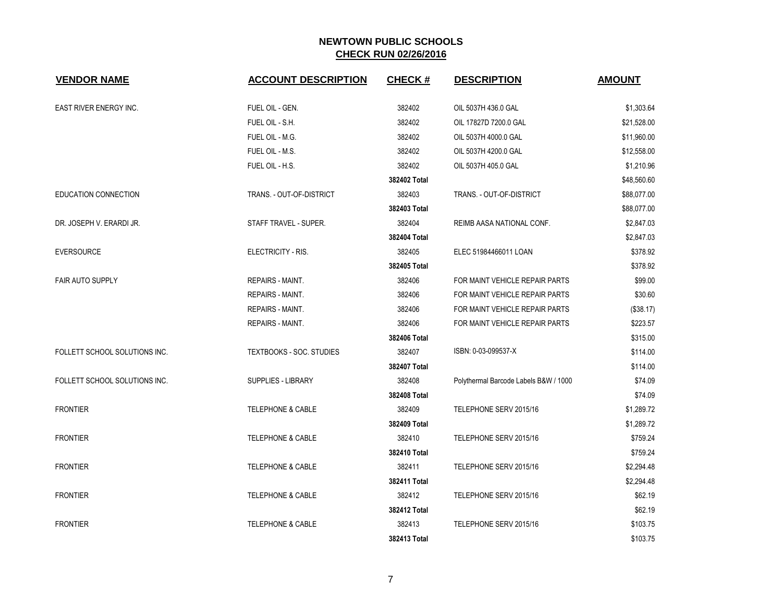| <b>VENDOR NAME</b>            | <b>ACCOUNT DESCRIPTION</b>      | <b>CHECK#</b> | <b>DESCRIPTION</b>                    | <b>AMOUNT</b> |
|-------------------------------|---------------------------------|---------------|---------------------------------------|---------------|
| <b>EAST RIVER ENERGY INC.</b> | FUEL OIL - GEN.                 | 382402        | OIL 5037H 436.0 GAL                   | \$1,303.64    |
|                               | FUEL OIL - S.H.                 | 382402        | OIL 17827D 7200.0 GAL                 | \$21,528.00   |
|                               | FUEL OIL - M.G.                 | 382402        | OIL 5037H 4000.0 GAL                  | \$11,960.00   |
|                               | FUEL OIL - M.S.                 | 382402        | OIL 5037H 4200.0 GAL                  | \$12,558.00   |
|                               | FUEL OIL - H.S.                 | 382402        | OIL 5037H 405.0 GAL                   | \$1,210.96    |
|                               |                                 | 382402 Total  |                                       | \$48,560.60   |
| EDUCATION CONNECTION          | TRANS. - OUT-OF-DISTRICT        | 382403        | TRANS. - OUT-OF-DISTRICT              | \$88,077.00   |
|                               |                                 | 382403 Total  |                                       | \$88,077.00   |
| DR. JOSEPH V. ERARDI JR.      | STAFF TRAVEL - SUPER.           | 382404        | <b>REIMB AASA NATIONAL CONF.</b>      | \$2,847.03    |
|                               |                                 | 382404 Total  |                                       | \$2,847.03    |
| <b>EVERSOURCE</b>             | ELECTRICITY - RIS.              | 382405        | ELEC 51984466011 LOAN                 | \$378.92      |
|                               |                                 | 382405 Total  |                                       | \$378.92      |
| <b>FAIR AUTO SUPPLY</b>       | <b>REPAIRS - MAINT.</b>         | 382406        | FOR MAINT VEHICLE REPAIR PARTS        | \$99.00       |
|                               | REPAIRS - MAINT.                | 382406        | FOR MAINT VEHICLE REPAIR PARTS        | \$30.60       |
|                               | <b>REPAIRS - MAINT.</b>         | 382406        | FOR MAINT VEHICLE REPAIR PARTS        | (\$38.17)     |
|                               | <b>REPAIRS - MAINT.</b>         | 382406        | FOR MAINT VEHICLE REPAIR PARTS        | \$223.57      |
|                               |                                 | 382406 Total  |                                       | \$315.00      |
| FOLLETT SCHOOL SOLUTIONS INC. | <b>TEXTBOOKS - SOC. STUDIES</b> | 382407        | ISBN: 0-03-099537-X                   | \$114.00      |
|                               |                                 | 382407 Total  |                                       | \$114.00      |
| FOLLETT SCHOOL SOLUTIONS INC. | <b>SUPPLIES - LIBRARY</b>       | 382408        | Polythermal Barcode Labels B&W / 1000 | \$74.09       |
|                               |                                 | 382408 Total  |                                       | \$74.09       |
| <b>FRONTIER</b>               | <b>TELEPHONE &amp; CABLE</b>    | 382409        | TELEPHONE SERV 2015/16                | \$1,289.72    |
|                               |                                 | 382409 Total  |                                       | \$1,289.72    |
| <b>FRONTIER</b>               | <b>TELEPHONE &amp; CABLE</b>    | 382410        | TELEPHONE SERV 2015/16                | \$759.24      |
|                               |                                 | 382410 Total  |                                       | \$759.24      |
| <b>FRONTIER</b>               | <b>TELEPHONE &amp; CABLE</b>    | 382411        | TELEPHONE SERV 2015/16                | \$2,294.48    |
|                               |                                 | 382411 Total  |                                       | \$2,294.48    |
| <b>FRONTIER</b>               | TELEPHONE & CABLE               | 382412        | TELEPHONE SERV 2015/16                | \$62.19       |
|                               |                                 | 382412 Total  |                                       | \$62.19       |
| <b>FRONTIER</b>               | <b>TELEPHONE &amp; CABLE</b>    | 382413        | TELEPHONE SERV 2015/16                | \$103.75      |
|                               |                                 | 382413 Total  |                                       | \$103.75      |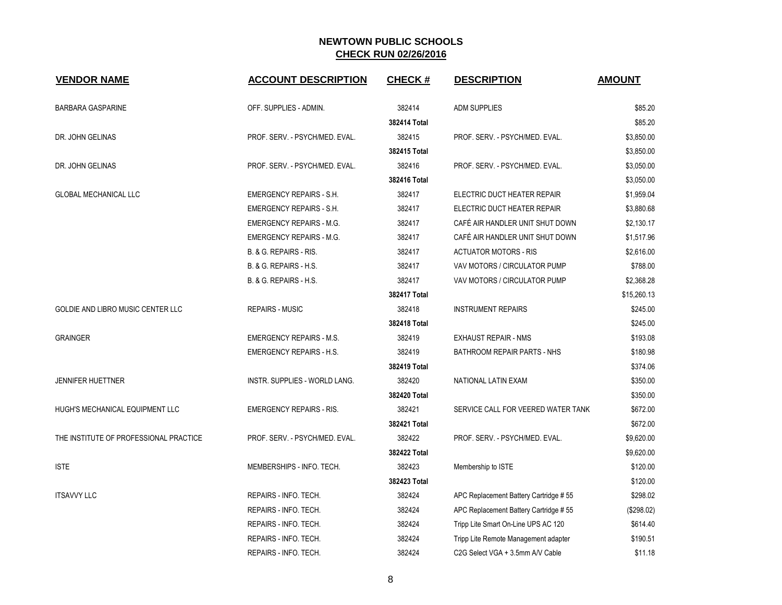| <b>VENDOR NAME</b>                     | <b>ACCOUNT DESCRIPTION</b>      | <b>CHECK#</b> | <b>DESCRIPTION</b>                    | <b>AMOUNT</b> |
|----------------------------------------|---------------------------------|---------------|---------------------------------------|---------------|
| <b>BARBARA GASPARINE</b>               | OFF. SUPPLIES - ADMIN.          | 382414        | <b>ADM SUPPLIES</b>                   | \$85.20       |
|                                        |                                 | 382414 Total  |                                       | \$85.20       |
| DR. JOHN GELINAS                       | PROF. SERV. - PSYCH/MED. EVAL.  | 382415        | PROF. SERV. - PSYCH/MED. EVAL.        | \$3,850.00    |
|                                        |                                 | 382415 Total  |                                       | \$3,850.00    |
| DR. JOHN GELINAS                       | PROF. SERV. - PSYCH/MED. EVAL.  | 382416        | PROF. SERV. - PSYCH/MED. EVAL.        | \$3,050.00    |
|                                        |                                 | 382416 Total  |                                       | \$3,050.00    |
| GLOBAL MECHANICAL LLC                  | <b>EMERGENCY REPAIRS - S.H.</b> | 382417        | ELECTRIC DUCT HEATER REPAIR           | \$1,959.04    |
|                                        | <b>EMERGENCY REPAIRS - S.H.</b> | 382417        | ELECTRIC DUCT HEATER REPAIR           | \$3,880.68    |
|                                        | <b>EMERGENCY REPAIRS - M.G.</b> | 382417        | CAFÉ AIR HANDLER UNIT SHUT DOWN       | \$2,130.17    |
|                                        | <b>EMERGENCY REPAIRS - M.G.</b> | 382417        | CAFÉ AIR HANDLER UNIT SHUT DOWN       | \$1,517.96    |
|                                        | B. & G. REPAIRS - RIS.          | 382417        | <b>ACTUATOR MOTORS - RIS</b>          | \$2,616.00    |
|                                        | B. & G. REPAIRS - H.S.          | 382417        | VAV MOTORS / CIRCULATOR PUMP          | \$788.00      |
|                                        | B. & G. REPAIRS - H.S.          | 382417        | VAV MOTORS / CIRCULATOR PUMP          | \$2,368.28    |
|                                        |                                 | 382417 Total  |                                       | \$15,260.13   |
| GOLDIE AND LIBRO MUSIC CENTER LLC      | <b>REPAIRS - MUSIC</b>          | 382418        | <b>INSTRUMENT REPAIRS</b>             | \$245.00      |
|                                        |                                 | 382418 Total  |                                       | \$245.00      |
| <b>GRAINGER</b>                        | <b>EMERGENCY REPAIRS - M.S.</b> | 382419        | <b>EXHAUST REPAIR - NMS</b>           | \$193.08      |
|                                        | <b>EMERGENCY REPAIRS - H.S.</b> | 382419        | BATHROOM REPAIR PARTS - NHS           | \$180.98      |
|                                        |                                 | 382419 Total  |                                       | \$374.06      |
| <b>JENNIFER HUETTNER</b>               | INSTR. SUPPLIES - WORLD LANG.   | 382420        | NATIONAL LATIN EXAM                   | \$350.00      |
|                                        |                                 | 382420 Total  |                                       | \$350.00      |
| HUGH'S MECHANICAL EQUIPMENT LLC        | <b>EMERGENCY REPAIRS - RIS.</b> | 382421        | SERVICE CALL FOR VEERED WATER TANK    | \$672.00      |
|                                        |                                 | 382421 Total  |                                       | \$672.00      |
| THE INSTITUTE OF PROFESSIONAL PRACTICE | PROF. SERV. - PSYCH/MED. EVAL.  | 382422        | PROF. SERV. - PSYCH/MED. EVAL.        | \$9,620.00    |
|                                        |                                 | 382422 Total  |                                       | \$9,620.00    |
| <b>ISTE</b>                            | MEMBERSHIPS - INFO. TECH.       | 382423        | Membership to ISTE                    | \$120.00      |
|                                        |                                 | 382423 Total  |                                       | \$120.00      |
| <b>ITSAVVY LLC</b>                     | REPAIRS - INFO. TECH.           | 382424        | APC Replacement Battery Cartridge #55 | \$298.02      |
|                                        | REPAIRS - INFO. TECH.           | 382424        | APC Replacement Battery Cartridge #55 | (\$298.02)    |
|                                        | REPAIRS - INFO. TECH.           | 382424        | Tripp Lite Smart On-Line UPS AC 120   | \$614.40      |
|                                        | REPAIRS - INFO. TECH.           | 382424        | Tripp Lite Remote Management adapter  | \$190.51      |
|                                        | REPAIRS - INFO. TECH.           | 382424        | C2G Select VGA + 3.5mm A/V Cable      | \$11.18       |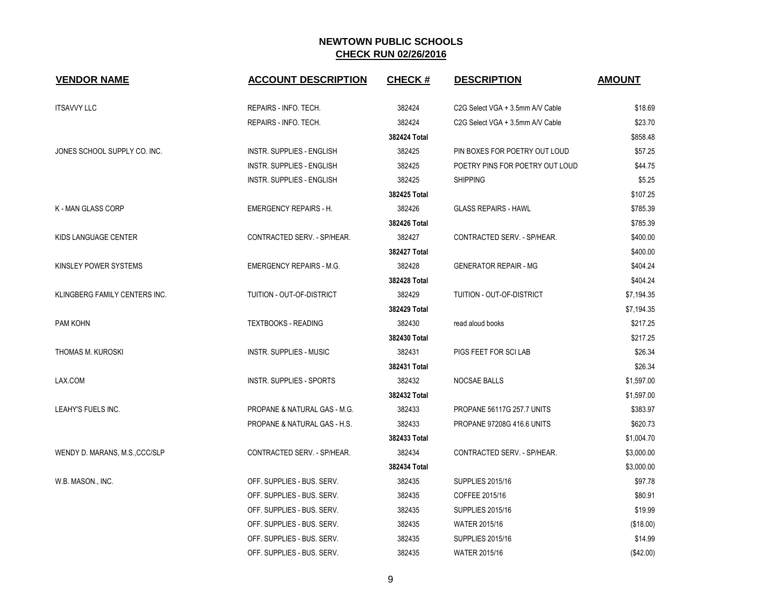| <b>VENDOR NAME</b>             | <b>ACCOUNT DESCRIPTION</b>              | <b>CHECK#</b> | <b>DESCRIPTION</b>                | <b>AMOUNT</b> |
|--------------------------------|-----------------------------------------|---------------|-----------------------------------|---------------|
| <b>ITSAVVY LLC</b>             | REPAIRS - INFO. TECH.                   | 382424        | C2G Select VGA + 3.5mm A/V Cable  | \$18.69       |
|                                | REPAIRS - INFO. TECH.                   | 382424        | C2G Select VGA + 3.5mm A/V Cable  | \$23.70       |
|                                |                                         | 382424 Total  |                                   | \$858.48      |
| JONES SCHOOL SUPPLY CO. INC.   | <b>INSTR. SUPPLIES - ENGLISH</b>        | 382425        | PIN BOXES FOR POETRY OUT LOUD     | \$57.25       |
|                                | INSTR. SUPPLIES - ENGLISH               | 382425        | POETRY PINS FOR POETRY OUT LOUD   | \$44.75       |
|                                | <b>INSTR. SUPPLIES - ENGLISH</b>        | 382425        | <b>SHIPPING</b>                   | \$5.25        |
|                                |                                         | 382425 Total  |                                   | \$107.25      |
| K - MAN GLASS CORP             | <b>EMERGENCY REPAIRS - H.</b>           | 382426        | <b>GLASS REPAIRS - HAWL</b>       | \$785.39      |
|                                |                                         | 382426 Total  |                                   | \$785.39      |
| KIDS LANGUAGE CENTER           | CONTRACTED SERV. - SP/HEAR.             | 382427        | CONTRACTED SERV. - SP/HEAR.       | \$400.00      |
|                                |                                         | 382427 Total  |                                   | \$400.00      |
| KINSLEY POWER SYSTEMS          | <b>EMERGENCY REPAIRS - M.G.</b>         | 382428        | <b>GENERATOR REPAIR - MG</b>      | \$404.24      |
|                                |                                         | 382428 Total  |                                   | \$404.24      |
| KLINGBERG FAMILY CENTERS INC.  | TUITION - OUT-OF-DISTRICT               | 382429        | TUITION - OUT-OF-DISTRICT         | \$7,194.35    |
|                                |                                         | 382429 Total  |                                   | \$7,194.35    |
| PAM KOHN                       | <b>TEXTBOOKS - READING</b>              | 382430        | read aloud books                  | \$217.25      |
|                                |                                         | 382430 Total  |                                   | \$217.25      |
| THOMAS M. KUROSKI              | <b>INSTR. SUPPLIES - MUSIC</b>          | 382431        | PIGS FEET FOR SCI LAB             | \$26.34       |
|                                |                                         | 382431 Total  |                                   | \$26.34       |
| LAX.COM                        | <b>INSTR. SUPPLIES - SPORTS</b>         | 382432        | NOCSAE BALLS                      | \$1,597.00    |
|                                |                                         | 382432 Total  |                                   | \$1,597.00    |
| LEAHY'S FUELS INC.             | PROPANE & NATURAL GAS - M.G.            | 382433        | <b>PROPANE 56117G 257.7 UNITS</b> | \$383.97      |
|                                | <b>PROPANE &amp; NATURAL GAS - H.S.</b> | 382433        | <b>PROPANE 97208G 416.6 UNITS</b> | \$620.73      |
|                                |                                         | 382433 Total  |                                   | \$1,004.70    |
| WENDY D. MARANS, M.S., CCC/SLP | CONTRACTED SERV. - SP/HEAR.             | 382434        | CONTRACTED SERV. - SP/HEAR.       | \$3,000.00    |
|                                |                                         | 382434 Total  |                                   | \$3,000.00    |
| W.B. MASON., INC.              | OFF. SUPPLIES - BUS. SERV.              | 382435        | <b>SUPPLIES 2015/16</b>           | \$97.78       |
|                                | OFF. SUPPLIES - BUS. SERV.              | 382435        | COFFEE 2015/16                    | \$80.91       |
|                                | OFF. SUPPLIES - BUS. SERV.              | 382435        | <b>SUPPLIES 2015/16</b>           | \$19.99       |
|                                | OFF. SUPPLIES - BUS. SERV.              | 382435        | <b>WATER 2015/16</b>              | (\$18.00)     |
|                                | OFF. SUPPLIES - BUS. SERV.              | 382435        | <b>SUPPLIES 2015/16</b>           | \$14.99       |
|                                | OFF. SUPPLIES - BUS. SERV.              | 382435        | <b>WATER 2015/16</b>              | (\$42.00)     |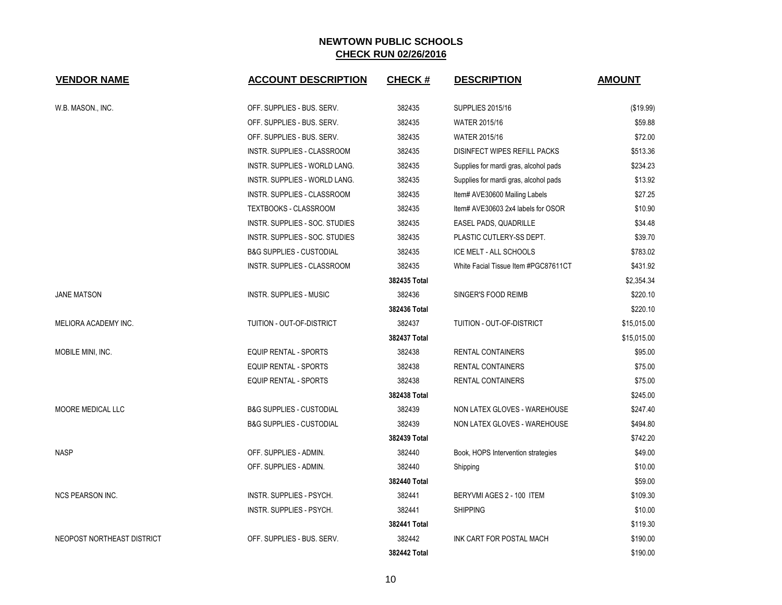| <b>VENDOR NAME</b>         | <b>ACCOUNT DESCRIPTION</b>          | <b>CHECK#</b> | <b>DESCRIPTION</b>                    | <b>AMOUNT</b> |
|----------------------------|-------------------------------------|---------------|---------------------------------------|---------------|
| W.B. MASON., INC.          | OFF. SUPPLIES - BUS. SERV.          | 382435        | <b>SUPPLIES 2015/16</b>               | (\$19.99)     |
|                            | OFF. SUPPLIES - BUS. SERV.          | 382435        | <b>WATER 2015/16</b>                  | \$59.88       |
|                            | OFF. SUPPLIES - BUS. SERV.          | 382435        | <b>WATER 2015/16</b>                  | \$72.00       |
|                            | INSTR. SUPPLIES - CLASSROOM         | 382435        | <b>DISINFECT WIPES REFILL PACKS</b>   | \$513.36      |
|                            | INSTR. SUPPLIES - WORLD LANG.       | 382435        | Supplies for mardi gras, alcohol pads | \$234.23      |
|                            | INSTR. SUPPLIES - WORLD LANG.       | 382435        | Supplies for mardi gras, alcohol pads | \$13.92       |
|                            | INSTR. SUPPLIES - CLASSROOM         | 382435        | Item# AVE30600 Mailing Labels         | \$27.25       |
|                            | <b>TEXTBOOKS - CLASSROOM</b>        | 382435        | Item# AVE30603 2x4 labels for OSOR    | \$10.90       |
|                            | INSTR. SUPPLIES - SOC. STUDIES      | 382435        | EASEL PADS, QUADRILLE                 | \$34.48       |
|                            | INSTR. SUPPLIES - SOC. STUDIES      | 382435        | PLASTIC CUTLERY-SS DEPT.              | \$39.70       |
|                            | <b>B&amp;G SUPPLIES - CUSTODIAL</b> | 382435        | ICE MELT - ALL SCHOOLS                | \$783.02      |
|                            | INSTR. SUPPLIES - CLASSROOM         | 382435        | White Facial Tissue Item #PGC87611CT  | \$431.92      |
|                            |                                     | 382435 Total  |                                       | \$2,354.34    |
| <b>JANE MATSON</b>         | <b>INSTR. SUPPLIES - MUSIC</b>      | 382436        | SINGER'S FOOD REIMB                   | \$220.10      |
|                            |                                     | 382436 Total  |                                       | \$220.10      |
| MELIORA ACADEMY INC.       | TUITION - OUT-OF-DISTRICT           | 382437        | TUITION - OUT-OF-DISTRICT             | \$15,015.00   |
|                            |                                     | 382437 Total  |                                       | \$15,015.00   |
| MOBILE MINI, INC.          | <b>EQUIP RENTAL - SPORTS</b>        | 382438        | RENTAL CONTAINERS                     | \$95.00       |
|                            | EQUIP RENTAL - SPORTS               | 382438        | <b>RENTAL CONTAINERS</b>              | \$75.00       |
|                            | <b>EQUIP RENTAL - SPORTS</b>        | 382438        | RENTAL CONTAINERS                     | \$75.00       |
|                            |                                     | 382438 Total  |                                       | \$245.00      |
| MOORE MEDICAL LLC          | <b>B&amp;G SUPPLIES - CUSTODIAL</b> | 382439        | NON LATEX GLOVES - WAREHOUSE          | \$247.40      |
|                            | <b>B&amp;G SUPPLIES - CUSTODIAL</b> | 382439        | NON LATEX GLOVES - WAREHOUSE          | \$494.80      |
|                            |                                     | 382439 Total  |                                       | \$742.20      |
| <b>NASP</b>                | OFF. SUPPLIES - ADMIN.              | 382440        | Book, HOPS Intervention strategies    | \$49.00       |
|                            | OFF. SUPPLIES - ADMIN.              | 382440        | Shipping                              | \$10.00       |
|                            |                                     | 382440 Total  |                                       | \$59.00       |
| <b>NCS PEARSON INC.</b>    | INSTR. SUPPLIES - PSYCH.            | 382441        | BERYVMI AGES 2 - 100 ITEM             | \$109.30      |
|                            | INSTR. SUPPLIES - PSYCH.            | 382441        | <b>SHIPPING</b>                       | \$10.00       |
|                            |                                     | 382441 Total  |                                       | \$119.30      |
| NEOPOST NORTHEAST DISTRICT | OFF. SUPPLIES - BUS. SERV.          | 382442        | INK CART FOR POSTAL MACH              | \$190.00      |
|                            |                                     | 382442 Total  |                                       | \$190.00      |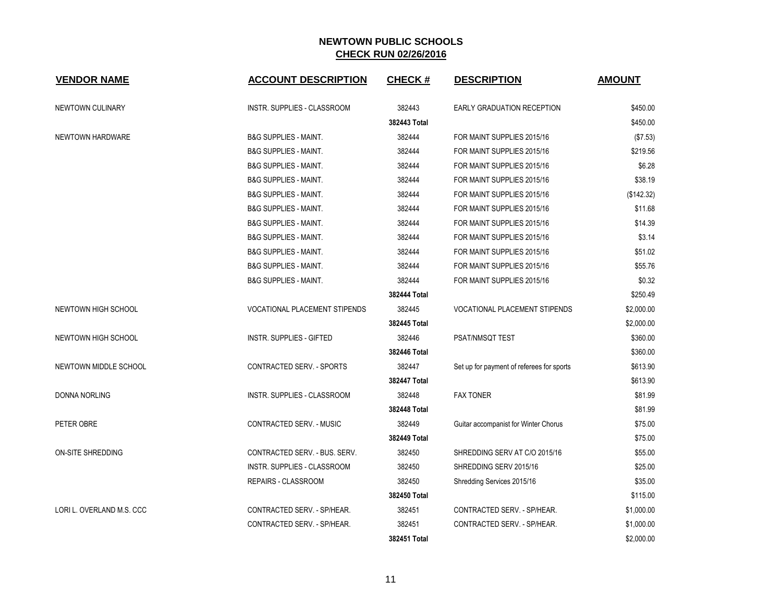| <b>VENDOR NAME</b>        | <b>ACCOUNT DESCRIPTION</b>         | <b>CHECK#</b> | <b>DESCRIPTION</b>                        | <b>AMOUNT</b> |
|---------------------------|------------------------------------|---------------|-------------------------------------------|---------------|
| NEWTOWN CULINARY          | INSTR. SUPPLIES - CLASSROOM        | 382443        | <b>EARLY GRADUATION RECEPTION</b>         | \$450.00      |
|                           |                                    | 382443 Total  |                                           | \$450.00      |
| NEWTOWN HARDWARE          | <b>B&amp;G SUPPLIES - MAINT.</b>   | 382444        | FOR MAINT SUPPLIES 2015/16                | (\$7.53)      |
|                           | <b>B&amp;G SUPPLIES - MAINT.</b>   | 382444        | FOR MAINT SUPPLIES 2015/16                | \$219.56      |
|                           | <b>B&amp;G SUPPLIES - MAINT.</b>   | 382444        | FOR MAINT SUPPLIES 2015/16                | \$6.28        |
|                           | <b>B&amp;G SUPPLIES - MAINT.</b>   | 382444        | FOR MAINT SUPPLIES 2015/16                | \$38.19       |
|                           | <b>B&amp;G SUPPLIES - MAINT.</b>   | 382444        | FOR MAINT SUPPLIES 2015/16                | (\$142.32)    |
|                           | <b>B&amp;G SUPPLIES - MAINT.</b>   | 382444        | FOR MAINT SUPPLIES 2015/16                | \$11.68       |
|                           | <b>B&amp;G SUPPLIES - MAINT.</b>   | 382444        | FOR MAINT SUPPLIES 2015/16                | \$14.39       |
|                           | <b>B&amp;G SUPPLIES - MAINT.</b>   | 382444        | FOR MAINT SUPPLIES 2015/16                | \$3.14        |
|                           | <b>B&amp;G SUPPLIES - MAINT.</b>   | 382444        | FOR MAINT SUPPLIES 2015/16                | \$51.02       |
|                           | <b>B&amp;G SUPPLIES - MAINT.</b>   | 382444        | FOR MAINT SUPPLIES 2015/16                | \$55.76       |
|                           | <b>B&amp;G SUPPLIES - MAINT.</b>   | 382444        | FOR MAINT SUPPLIES 2015/16                | \$0.32        |
|                           |                                    | 382444 Total  |                                           | \$250.49      |
| NEWTOWN HIGH SCHOOL       | VOCATIONAL PLACEMENT STIPENDS      | 382445        | <b>VOCATIONAL PLACEMENT STIPENDS</b>      | \$2,000.00    |
|                           |                                    | 382445 Total  |                                           | \$2,000.00    |
| NEWTOWN HIGH SCHOOL       | <b>INSTR. SUPPLIES - GIFTED</b>    | 382446        | PSAT/NMSQT TEST                           | \$360.00      |
|                           |                                    | 382446 Total  |                                           | \$360.00      |
| NEWTOWN MIDDLE SCHOOL     | CONTRACTED SERV. - SPORTS          | 382447        | Set up for payment of referees for sports | \$613.90      |
|                           |                                    | 382447 Total  |                                           | \$613.90      |
| <b>DONNA NORLING</b>      | <b>INSTR. SUPPLIES - CLASSROOM</b> | 382448        | <b>FAX TONER</b>                          | \$81.99       |
|                           |                                    | 382448 Total  |                                           | \$81.99       |
| PETER OBRE                | <b>CONTRACTED SERV. - MUSIC</b>    | 382449        | Guitar accompanist for Winter Chorus      | \$75.00       |
|                           |                                    | 382449 Total  |                                           | \$75.00       |
| ON-SITE SHREDDING         | CONTRACTED SERV. - BUS. SERV.      | 382450        | SHREDDING SERV AT C/O 2015/16             | \$55.00       |
|                           | INSTR. SUPPLIES - CLASSROOM        | 382450        | SHREDDING SERV 2015/16                    | \$25.00       |
|                           | REPAIRS - CLASSROOM                | 382450        | Shredding Services 2015/16                | \$35.00       |
|                           |                                    | 382450 Total  |                                           | \$115.00      |
| LORI L. OVERLAND M.S. CCC | CONTRACTED SERV. - SP/HEAR.        | 382451        | CONTRACTED SERV. - SP/HEAR.               | \$1,000.00    |
|                           | CONTRACTED SERV. - SP/HEAR.        | 382451        | CONTRACTED SERV. - SP/HEAR.               | \$1,000.00    |
|                           |                                    | 382451 Total  |                                           | \$2,000.00    |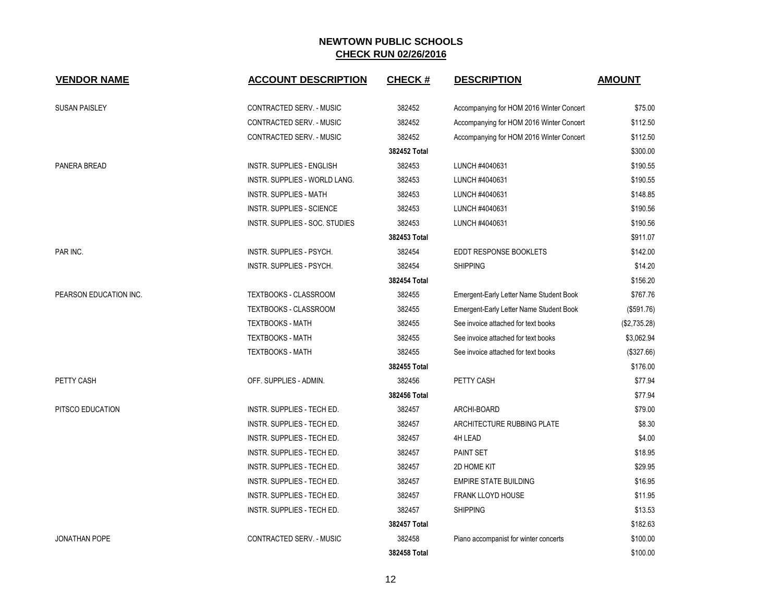| <b>VENDOR NAME</b>     | <b>ACCOUNT DESCRIPTION</b>           | <b>CHECK#</b> | <b>DESCRIPTION</b>                       | <b>AMOUNT</b> |
|------------------------|--------------------------------------|---------------|------------------------------------------|---------------|
| <b>SUSAN PAISLEY</b>   | CONTRACTED SERV. - MUSIC             | 382452        | Accompanying for HOM 2016 Winter Concert | \$75.00       |
|                        | CONTRACTED SERV. - MUSIC             | 382452        | Accompanying for HOM 2016 Winter Concert | \$112.50      |
|                        | CONTRACTED SERV. - MUSIC             | 382452        | Accompanying for HOM 2016 Winter Concert | \$112.50      |
|                        |                                      | 382452 Total  |                                          | \$300.00      |
| PANERA BREAD           | INSTR. SUPPLIES - ENGLISH            | 382453        | LUNCH #4040631                           | \$190.55      |
|                        | <b>INSTR. SUPPLIES - WORLD LANG.</b> | 382453        | LUNCH #4040631                           | \$190.55      |
|                        | <b>INSTR. SUPPLIES - MATH</b>        | 382453        | LUNCH #4040631                           | \$148.85      |
|                        | <b>INSTR. SUPPLIES - SCIENCE</b>     | 382453        | LUNCH #4040631                           | \$190.56      |
|                        | INSTR. SUPPLIES - SOC. STUDIES       | 382453        | LUNCH #4040631                           | \$190.56      |
|                        |                                      | 382453 Total  |                                          | \$911.07      |
| PAR INC.               | INSTR. SUPPLIES - PSYCH.             | 382454        | <b>EDDT RESPONSE BOOKLETS</b>            | \$142.00      |
|                        | INSTR. SUPPLIES - PSYCH.             | 382454        | <b>SHIPPING</b>                          | \$14.20       |
|                        |                                      | 382454 Total  |                                          | \$156.20      |
| PEARSON EDUCATION INC. | <b>TEXTBOOKS - CLASSROOM</b>         | 382455        | Emergent-Early Letter Name Student Book  | \$767.76      |
|                        | <b>TEXTBOOKS - CLASSROOM</b>         | 382455        | Emergent-Early Letter Name Student Book  | (\$591.76)    |
|                        | <b>TEXTBOOKS - MATH</b>              | 382455        | See invoice attached for text books      | (\$2,735.28)  |
|                        | <b>TEXTBOOKS - MATH</b>              | 382455        | See invoice attached for text books      | \$3,062.94    |
|                        | <b>TEXTBOOKS - MATH</b>              | 382455        | See invoice attached for text books      | (\$327.66)    |
|                        |                                      | 382455 Total  |                                          | \$176.00      |
| PETTY CASH             | OFF. SUPPLIES - ADMIN.               | 382456        | PETTY CASH                               | \$77.94       |
|                        |                                      | 382456 Total  |                                          | \$77.94       |
| PITSCO EDUCATION       | INSTR. SUPPLIES - TECH ED.           | 382457        | ARCHI-BOARD                              | \$79.00       |
|                        | INSTR. SUPPLIES - TECH ED.           | 382457        | ARCHITECTURE RUBBING PLATE               | \$8.30        |
|                        | INSTR. SUPPLIES - TECH ED.           | 382457        | 4H LEAD                                  | \$4.00        |
|                        | INSTR. SUPPLIES - TECH ED.           | 382457        | PAINT SET                                | \$18.95       |
|                        | INSTR. SUPPLIES - TECH ED.           | 382457        | 2D HOME KIT                              | \$29.95       |
|                        | INSTR. SUPPLIES - TECH ED.           | 382457        | <b>EMPIRE STATE BUILDING</b>             | \$16.95       |
|                        | INSTR. SUPPLIES - TECH ED.           | 382457        | <b>FRANK LLOYD HOUSE</b>                 | \$11.95       |
|                        | INSTR. SUPPLIES - TECH ED.           | 382457        | <b>SHIPPING</b>                          | \$13.53       |
|                        |                                      | 382457 Total  |                                          | \$182.63      |
| <b>JONATHAN POPE</b>   | <b>CONTRACTED SERV. - MUSIC</b>      | 382458        | Piano accompanist for winter concerts    | \$100.00      |
|                        |                                      | 382458 Total  |                                          | \$100.00      |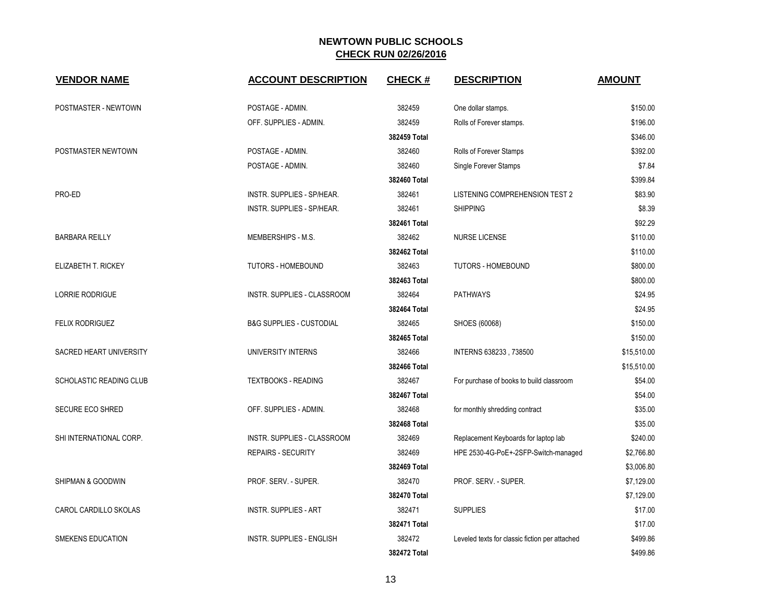| <b>VENDOR NAME</b>             | <b>ACCOUNT DESCRIPTION</b>          | <b>CHECK#</b> | <b>DESCRIPTION</b>                             | <b>AMOUNT</b> |
|--------------------------------|-------------------------------------|---------------|------------------------------------------------|---------------|
| POSTMASTER - NEWTOWN           | POSTAGE - ADMIN.                    | 382459        | One dollar stamps.                             | \$150.00      |
|                                | OFF. SUPPLIES - ADMIN.              | 382459        | Rolls of Forever stamps.                       | \$196.00      |
|                                |                                     | 382459 Total  |                                                | \$346.00      |
| POSTMASTER NEWTOWN             | POSTAGE - ADMIN.                    | 382460        | Rolls of Forever Stamps                        | \$392.00      |
|                                | POSTAGE - ADMIN.                    | 382460        | <b>Single Forever Stamps</b>                   | \$7.84        |
|                                |                                     | 382460 Total  |                                                | \$399.84      |
| PRO-ED                         | INSTR. SUPPLIES - SP/HEAR.          | 382461        | LISTENING COMPREHENSION TEST 2                 | \$83.90       |
|                                | INSTR. SUPPLIES - SP/HEAR.          | 382461        | <b>SHIPPING</b>                                | \$8.39        |
|                                |                                     | 382461 Total  |                                                | \$92.29       |
| <b>BARBARA REILLY</b>          | MEMBERSHIPS - M.S.                  | 382462        | <b>NURSE LICENSE</b>                           | \$110.00      |
|                                |                                     | 382462 Total  |                                                | \$110.00      |
| ELIZABETH T. RICKEY            | <b>TUTORS - HOMEBOUND</b>           | 382463        | <b>TUTORS - HOMEBOUND</b>                      | \$800.00      |
|                                |                                     | 382463 Total  |                                                | \$800.00      |
| LORRIE RODRIGUE                | INSTR. SUPPLIES - CLASSROOM         | 382464        | <b>PATHWAYS</b>                                | \$24.95       |
|                                |                                     | 382464 Total  |                                                | \$24.95       |
| <b>FELIX RODRIGUEZ</b>         | <b>B&amp;G SUPPLIES - CUSTODIAL</b> | 382465        | SHOES (60068)                                  | \$150.00      |
|                                |                                     | 382465 Total  |                                                | \$150.00      |
| <b>SACRED HEART UNIVERSITY</b> | UNIVERSITY INTERNS                  | 382466        | INTERNS 638233, 738500                         | \$15,510.00   |
|                                |                                     | 382466 Total  |                                                | \$15,510.00   |
| SCHOLASTIC READING CLUB        | <b>TEXTBOOKS - READING</b>          | 382467        | For purchase of books to build classroom       | \$54.00       |
|                                |                                     | 382467 Total  |                                                | \$54.00       |
| <b>SECURE ECO SHRED</b>        | OFF. SUPPLIES - ADMIN.              | 382468        | for monthly shredding contract                 | \$35.00       |
|                                |                                     | 382468 Total  |                                                | \$35.00       |
| SHI INTERNATIONAL CORP.        | INSTR. SUPPLIES - CLASSROOM         | 382469        | Replacement Keyboards for laptop lab           | \$240.00      |
|                                | <b>REPAIRS - SECURITY</b>           | 382469        | HPE 2530-4G-PoE+-2SFP-Switch-managed           | \$2,766.80    |
|                                |                                     | 382469 Total  |                                                | \$3,006.80    |
| SHIPMAN & GOODWIN              | PROF. SERV. - SUPER.                | 382470        | PROF. SERV. - SUPER.                           | \$7,129.00    |
|                                |                                     | 382470 Total  |                                                | \$7,129.00    |
| CAROL CARDILLO SKOLAS          | <b>INSTR. SUPPLIES - ART</b>        | 382471        | <b>SUPPLIES</b>                                | \$17.00       |
|                                |                                     | 382471 Total  |                                                | \$17.00       |
| <b>SMEKENS EDUCATION</b>       | <b>INSTR. SUPPLIES - ENGLISH</b>    | 382472        | Leveled texts for classic fiction per attached | \$499.86      |
|                                |                                     | 382472 Total  |                                                | \$499.86      |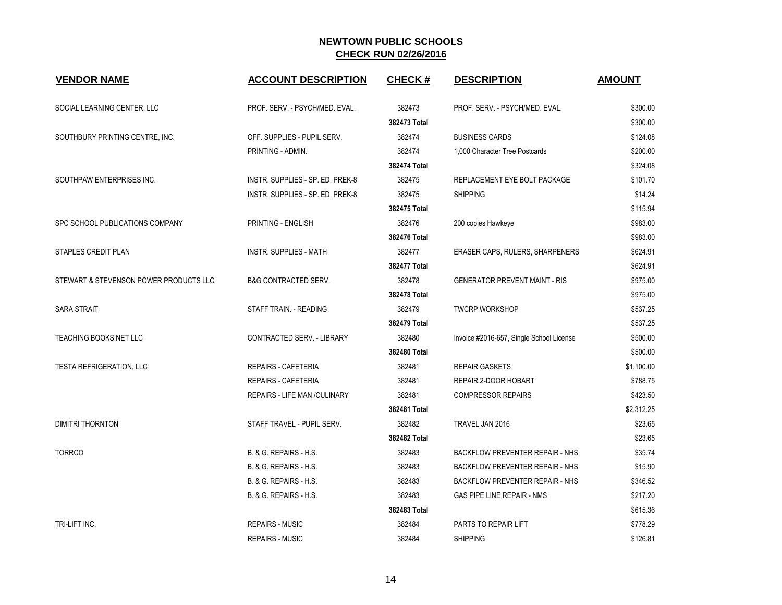| <b>VENDOR NAME</b>                     | <b>ACCOUNT DESCRIPTION</b>       | <b>CHECK#</b> | <b>DESCRIPTION</b>                       | <b>AMOUNT</b> |
|----------------------------------------|----------------------------------|---------------|------------------------------------------|---------------|
| SOCIAL LEARNING CENTER, LLC            | PROF. SERV. - PSYCH/MED. EVAL.   | 382473        | PROF. SERV. - PSYCH/MED. EVAL.           | \$300.00      |
|                                        |                                  | 382473 Total  |                                          | \$300.00      |
| SOUTHBURY PRINTING CENTRE, INC.        | OFF. SUPPLIES - PUPIL SERV.      | 382474        | <b>BUSINESS CARDS</b>                    | \$124.08      |
|                                        | PRINTING - ADMIN.                | 382474        | 1,000 Character Tree Postcards           | \$200.00      |
|                                        |                                  | 382474 Total  |                                          | \$324.08      |
| SOUTHPAW ENTERPRISES INC.              | INSTR. SUPPLIES - SP. ED. PREK-8 | 382475        | REPLACEMENT EYE BOLT PACKAGE             | \$101.70      |
|                                        | INSTR. SUPPLIES - SP. ED. PREK-8 | 382475        | <b>SHIPPING</b>                          | \$14.24       |
|                                        |                                  | 382475 Total  |                                          | \$115.94      |
| SPC SCHOOL PUBLICATIONS COMPANY        | PRINTING - ENGLISH               | 382476        | 200 copies Hawkeye                       | \$983.00      |
|                                        |                                  | 382476 Total  |                                          | \$983.00      |
| <b>STAPLES CREDIT PLAN</b>             | <b>INSTR. SUPPLIES - MATH</b>    | 382477        | ERASER CAPS, RULERS, SHARPENERS          | \$624.91      |
|                                        |                                  | 382477 Total  |                                          | \$624.91      |
| STEWART & STEVENSON POWER PRODUCTS LLC | <b>B&amp;G CONTRACTED SERV.</b>  | 382478        | <b>GENERATOR PREVENT MAINT - RIS</b>     | \$975.00      |
|                                        |                                  | 382478 Total  |                                          | \$975.00      |
| <b>SARA STRAIT</b>                     | STAFF TRAIN. - READING           | 382479        | <b>TWCRP WORKSHOP</b>                    | \$537.25      |
|                                        |                                  | 382479 Total  |                                          | \$537.25      |
| TEACHING BOOKS.NET LLC                 | CONTRACTED SERV. - LIBRARY       | 382480        | Invoice #2016-657, Single School License | \$500.00      |
|                                        |                                  | 382480 Total  |                                          | \$500.00      |
| <b>TESTA REFRIGERATION, LLC</b>        | <b>REPAIRS - CAFETERIA</b>       | 382481        | <b>REPAIR GASKETS</b>                    | \$1,100.00    |
|                                        | <b>REPAIRS - CAFETERIA</b>       | 382481        | REPAIR 2-DOOR HOBART                     | \$788.75      |
|                                        | REPAIRS - LIFE MAN./CULINARY     | 382481        | <b>COMPRESSOR REPAIRS</b>                | \$423.50      |
|                                        |                                  | 382481 Total  |                                          | \$2,312.25    |
| <b>DIMITRI THORNTON</b>                | STAFF TRAVEL - PUPIL SERV.       | 382482        | TRAVEL JAN 2016                          | \$23.65       |
|                                        |                                  | 382482 Total  |                                          | \$23.65       |
| <b>TORRCO</b>                          | B. & G. REPAIRS - H.S.           | 382483        | <b>BACKFLOW PREVENTER REPAIR - NHS</b>   | \$35.74       |
|                                        | B. & G. REPAIRS - H.S.           | 382483        | <b>BACKFLOW PREVENTER REPAIR - NHS</b>   | \$15.90       |
|                                        | B. & G. REPAIRS - H.S.           | 382483        | <b>BACKFLOW PREVENTER REPAIR - NHS</b>   | \$346.52      |
|                                        | B. & G. REPAIRS - H.S.           | 382483        | GAS PIPE LINE REPAIR - NMS               | \$217.20      |
|                                        |                                  | 382483 Total  |                                          | \$615.36      |
| TRI-LIFT INC.                          | <b>REPAIRS - MUSIC</b>           | 382484        | <b>PARTS TO REPAIR LIFT</b>              | \$778.29      |
|                                        | <b>REPAIRS - MUSIC</b>           | 382484        | <b>SHIPPING</b>                          | \$126.81      |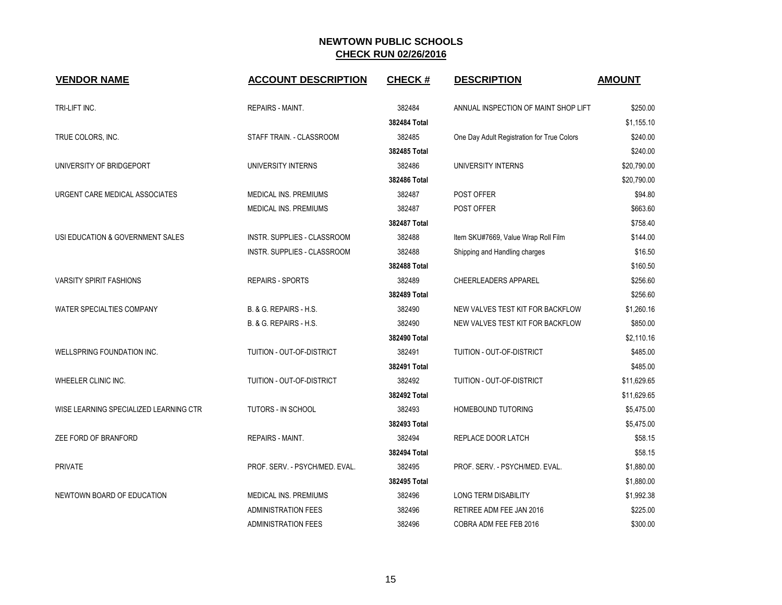| <b>VENDOR NAME</b>                     | <b>ACCOUNT DESCRIPTION</b>         | <b>CHECK#</b> | <b>DESCRIPTION</b>                         | <b>AMOUNT</b> |
|----------------------------------------|------------------------------------|---------------|--------------------------------------------|---------------|
| TRI-LIFT INC.                          | <b>REPAIRS - MAINT.</b>            | 382484        | ANNUAL INSPECTION OF MAINT SHOP LIFT       | \$250.00      |
|                                        |                                    | 382484 Total  |                                            | \$1,155.10    |
| TRUE COLORS, INC.                      | STAFF TRAIN. - CLASSROOM           | 382485        | One Day Adult Registration for True Colors | \$240.00      |
|                                        |                                    | 382485 Total  |                                            | \$240.00      |
| UNIVERSITY OF BRIDGEPORT               | UNIVERSITY INTERNS                 | 382486        | UNIVERSITY INTERNS                         | \$20,790.00   |
|                                        |                                    | 382486 Total  |                                            | \$20,790.00   |
| URGENT CARE MEDICAL ASSOCIATES         | <b>MEDICAL INS. PREMIUMS</b>       | 382487        | POST OFFER                                 | \$94.80       |
|                                        | MEDICAL INS. PREMIUMS              | 382487        | POST OFFER                                 | \$663.60      |
|                                        |                                    | 382487 Total  |                                            | \$758.40      |
| USI EDUCATION & GOVERNMENT SALES       | <b>INSTR. SUPPLIES - CLASSROOM</b> | 382488        | Item SKU#7669, Value Wrap Roll Film        | \$144.00      |
|                                        | INSTR. SUPPLIES - CLASSROOM        | 382488        | Shipping and Handling charges              | \$16.50       |
|                                        |                                    | 382488 Total  |                                            | \$160.50      |
| <b>VARSITY SPIRIT FASHIONS</b>         | <b>REPAIRS - SPORTS</b>            | 382489        | <b>CHEERLEADERS APPAREL</b>                | \$256.60      |
|                                        |                                    | 382489 Total  |                                            | \$256.60      |
| WATER SPECIALTIES COMPANY              | B. & G. REPAIRS - H.S.             | 382490        | NEW VALVES TEST KIT FOR BACKFLOW           | \$1,260.16    |
|                                        | B. & G. REPAIRS - H.S.             | 382490        | NEW VALVES TEST KIT FOR BACKFLOW           | \$850.00      |
|                                        |                                    | 382490 Total  |                                            | \$2,110.16    |
| WELLSPRING FOUNDATION INC.             | TUITION - OUT-OF-DISTRICT          | 382491        | TUITION - OUT-OF-DISTRICT                  | \$485.00      |
|                                        |                                    | 382491 Total  |                                            | \$485.00      |
| WHEELER CLINIC INC.                    | TUITION - OUT-OF-DISTRICT          | 382492        | TUITION - OUT-OF-DISTRICT                  | \$11,629.65   |
|                                        |                                    | 382492 Total  |                                            | \$11,629.65   |
| WISE LEARNING SPECIALIZED LEARNING CTR | <b>TUTORS - IN SCHOOL</b>          | 382493        | <b>HOMEBOUND TUTORING</b>                  | \$5,475.00    |
|                                        |                                    | 382493 Total  |                                            | \$5,475.00    |
| ZEE FORD OF BRANFORD                   | <b>REPAIRS - MAINT.</b>            | 382494        | REPLACE DOOR LATCH                         | \$58.15       |
|                                        |                                    | 382494 Total  |                                            | \$58.15       |
| <b>PRIVATE</b>                         | PROF. SERV. - PSYCH/MED. EVAL.     | 382495        | PROF. SERV. - PSYCH/MED. EVAL.             | \$1,880.00    |
|                                        |                                    | 382495 Total  |                                            | \$1,880.00    |
| NEWTOWN BOARD OF EDUCATION             | MEDICAL INS. PREMIUMS              | 382496        | LONG TERM DISABILITY                       | \$1,992.38    |
|                                        | <b>ADMINISTRATION FEES</b>         | 382496        | RETIREE ADM FEE JAN 2016                   | \$225.00      |
|                                        | <b>ADMINISTRATION FEES</b>         | 382496        | COBRA ADM FEE FEB 2016                     | \$300.00      |